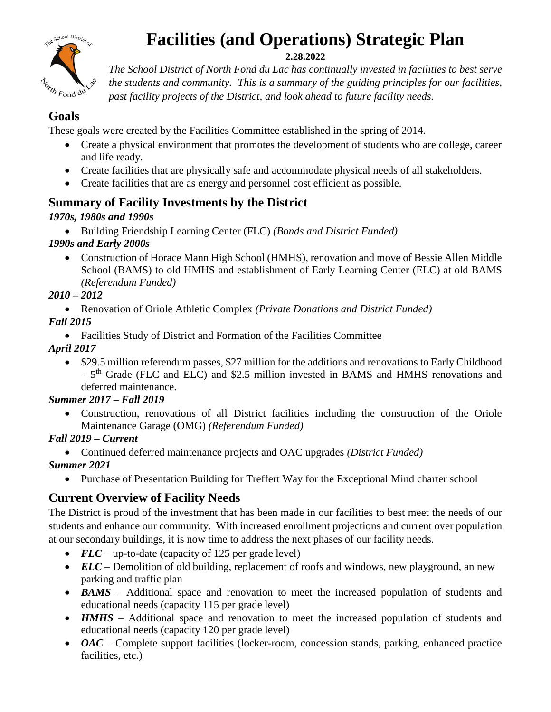

# **Facilities (and Operations) Strategic Plan**

#### **2.28.2022**

*The School District of North Fond du Lac has continually invested in facilities to best serve the students and community. This is a summary of the guiding principles for our facilities, past facility projects of the District, and look ahead to future facility needs.*

## **Goals**

These goals were created by the Facilities Committee established in the spring of 2014.

- Create a physical environment that promotes the development of students who are college, career and life ready.
- Create facilities that are physically safe and accommodate physical needs of all stakeholders.
- Create facilities that are as energy and personnel cost efficient as possible.

## **Summary of Facility Investments by the District**

#### *1970s, 1980s and 1990s*

Building Friendship Learning Center (FLC) *(Bonds and District Funded)*

#### *1990s and Early 2000s*

 Construction of Horace Mann High School (HMHS), renovation and move of Bessie Allen Middle School (BAMS) to old HMHS and establishment of Early Learning Center (ELC) at old BAMS *(Referendum Funded)*

#### *2010 – 2012*

Renovation of Oriole Athletic Complex *(Private Donations and District Funded)*

- *Fall 2015*
	- Facilities Study of District and Formation of the Facilities Committee

*April 2017*

• \$29.5 million referendum passes, \$27 million for the additions and renovations to Early Childhood - 5<sup>th</sup> Grade (FLC and ELC) and \$2.5 million invested in BAMS and HMHS renovations and deferred maintenance.

#### *Summer 2017 – Fall 2019*

 Construction, renovations of all District facilities including the construction of the Oriole Maintenance Garage (OMG) *(Referendum Funded)*

## *Fall 2019 – Current*

- Continued deferred maintenance projects and OAC upgrades *(District Funded) Summer 2021*
	- Purchase of Presentation Building for Treffert Way for the Exceptional Mind charter school

# **Current Overview of Facility Needs**

The District is proud of the investment that has been made in our facilities to best meet the needs of our students and enhance our community. With increased enrollment projections and current over population at our secondary buildings, it is now time to address the next phases of our facility needs.

- *FLC* up-to-date (capacity of 125 per grade level)
- *ELC* Demolition of old building, replacement of roofs and windows, new playground, an new parking and traffic plan
- *BAMS* Additional space and renovation to meet the increased population of students and educational needs (capacity 115 per grade level)
- *HMHS* Additional space and renovation to meet the increased population of students and educational needs (capacity 120 per grade level)
- *OAC* Complete support facilities (locker-room, concession stands, parking, enhanced practice facilities, etc.)